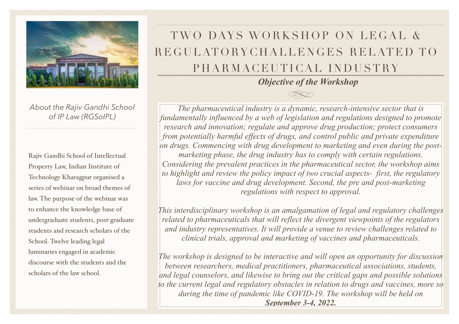

*About the Rajiv Gandhi School of IP Law (RGSoIPL)*

Rajiv Gandhi School of Intellectual Property Law, Indian Institute of Technology Kharagpur organised a series of webinar on broad themes of law. The purpose of the webinar was to enhance the knowledge base of undergraduate students, post-graduate students and research scholars of the School. Twelve leading legal luminaries engaged in academic discourse with the students and the scholars of the law school.

# TWO DAYS WORKSHOP ON LEGAL & REGULATORYCHALLENGES RELATED TO PHARMACEUTICAL INDUSTRY

*Objective of the Workshop*

*The pharmaceutical industry is a dynamic, research-intensive sector that is fundamentally influenced by a web of legislation and regulations designed to promote research and innovation; regulate and approve drug production; protect consumers from potentially harmful effects of drugs, and control public and private expenditure on drugs. Commencing with drug development to marketing and even during the postmarketing phase, the drug industry has to comply with certain regulations. Considering the prevalent practices in the pharmaceutical sector, the workshop aims to highlight and review the policy impact of two crucial aspects- first, the regulatory laws for vaccine and drug development. Second, the pre and post-marketing regulations with respect to approval.* 

*This interdisciplinary workshop is an amalgamation of legal and regulatory challenges related to pharmaceuticals that will reflect the divergent viewpoints of the regulators and industry representatives. It will provide a venue to review challenges related to clinical trials, approval and marketing of vaccines and pharmaceuticals.* 

*The workshop is designed to be interactive and will open an opportunity for discussion between researchers, medical practitioners, pharmaceutical associations, students, and legal counselors, and likewise to bring out the critical gaps and possible solutions to the current legal and regulatory obstacles in relation to drugs and vaccines, more so during the time of pandemic like COVID-19. The workshop will be held on September 3-4, 2022.*